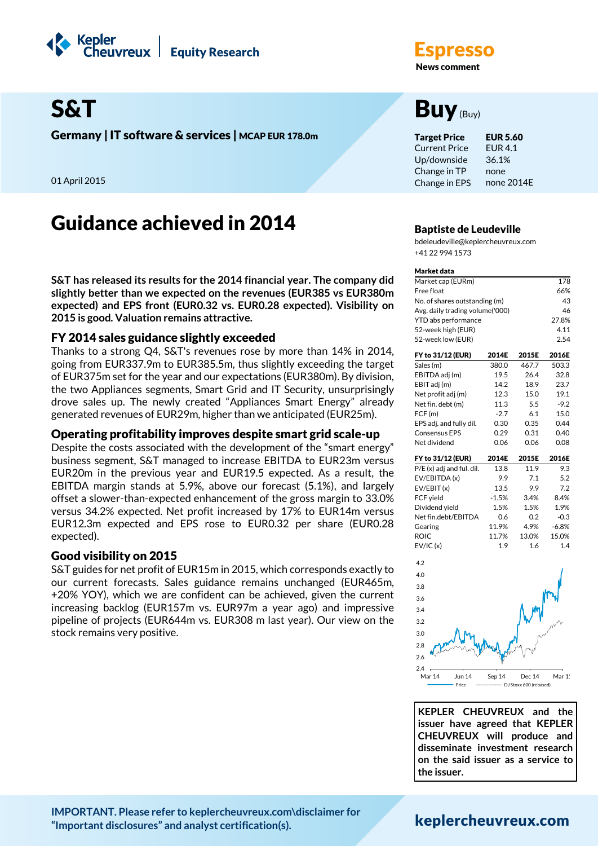



Germany | IT software & services | MCAP EUR 178.0m Target Price EUR 5.60

01 April 2015

# Guidance achieved in 2014 Baptiste de Leudeville

**S&T has released its results for the 2014 financial year. The company did slightly better than we expected on the revenues (EUR385 vs EUR380m expected) and EPS front (EUR0.32 vs. EUR0.28 expected). Visibility on 2015 is good. Valuation remains attractive.**

## FY 2014 sales guidance slightly exceeded

Thanks to a strong Q4, S&T's revenues rose by more than 14% in 2014, going from EUR337.9m to EUR385.5m, thus slightly exceeding the target of EUR375m set for the year and our expectations (EUR380m). By division, the two Appliances segments, Smart Grid and IT Security, unsurprisingly drove sales up. The newly created "Appliances Smart Energy" already generated revenues of EUR29m, higher than we anticipated (EUR25m).

## Operating profitability improves despite smart grid scale-up

Despite the costs associated with the development of the "smart energy" business segment, S&T managed to increase EBITDA to EUR23m versus EUR20m in the previous year and EUR19.5 expected. As a result, the EBITDA margin stands at 5.9%, above our forecast (5.1%), and largely offset a slower-than-expected enhancement of the gross margin to 33.0% versus 34.2% expected. Net profit increased by 17% to EUR14m versus EUR12.3m expected and EPS rose to EUR0.32 per share (EUR0.28 expected).

## Good visibility on 2015

S&T guides for net profit of EUR15m in 2015, which corresponds exactly to our current forecasts. Sales guidance remains unchanged (EUR465m, +20% YOY), which we are confident can be achieved, given the current increasing backlog (EUR157m vs. EUR97m a year ago) and impressive pipeline of projects (EUR644m vs. EUR308 m last year). Our view on the stock remains very positive.

**News comment** 

# S&T Buy<sub>(Buy)</sub>

Current Price Up/downside Change in TP Change in EPS

EUR 4.1 36.1% none none 2014E

bdeleudeville@keplercheuvreux.com +41 22 994 1573

### Market data

| Market cap (EURm)               | 178     |       |         |
|---------------------------------|---------|-------|---------|
| Free float                      | 66%     |       |         |
| No. of shares outstanding (m)   | 43      |       |         |
| Avg. daily trading volume('000) | 46      |       |         |
| YTD abs performance             | 27.8%   |       |         |
| 52-week high (EUR)              | 4.11    |       |         |
| 52-week low (EUR)               |         |       | 2.54    |
| FY to 31/12 (EUR)               | 2014E   | 2015E | 2016E   |
| Sales (m)                       | 380.0   | 467.7 | 503.3   |
| EBITDA adj (m)                  | 19.5    | 26.4  | 32.8    |
| EBIT adj (m)                    | 14.2    | 18.9  | 23.7    |
| Net profit adj (m)              | 12.3    | 15.0  | 19.1    |
| Net fin. debt (m)               | 11.3    | 5.5   | $-9.2$  |
| FCF (m)                         | $-2.7$  | 6.1   | 15.0    |
| EPS adj. and fully dil.         | 0.30    | 0.35  | 0.44    |
| <b>Consensus EPS</b>            | 0.29    | 0.31  | 0.40    |
| Net dividend                    | 0.06    | 0.06  | 0.08    |
| FY to 31/12 (EUR)               | 2014E   | 2015E | 2016E   |
| P/E (x) adj and ful. dil.       | 13.8    | 11.9  | 9.3     |
| EV/EBITDA (x)                   | 9.9     | 7.1   | 5.2     |
| EV/EBIT(x)                      | 13.5    | 9.9   | 7.2     |
| FCF yield                       | $-1.5%$ | 3.4%  | 8.4%    |
| Dividend yield                  | 1.5%    | 1.5%  | 1.9%    |
| Net fin.debt/EBITDA             | 0.6     | 0.2   | $-0.3$  |
| Gearing                         | 11.9%   | 4.9%  | $-6.8%$ |
| <b>ROIC</b>                     | 11.7%   | 13.0% | 15.0%   |
| EV/IC(x)                        | 1.9     | 1.6   | 1.4     |
| 4.2                             |         |       |         |
| 4.0                             |         |       |         |
| $\circ$                         |         |       |         |



**KEPLER CHEUVREUX and the issuer have agreed that KEPLER CHEUVREUX will produce and disseminate investment research on the said issuer as a service to the issuer.**

j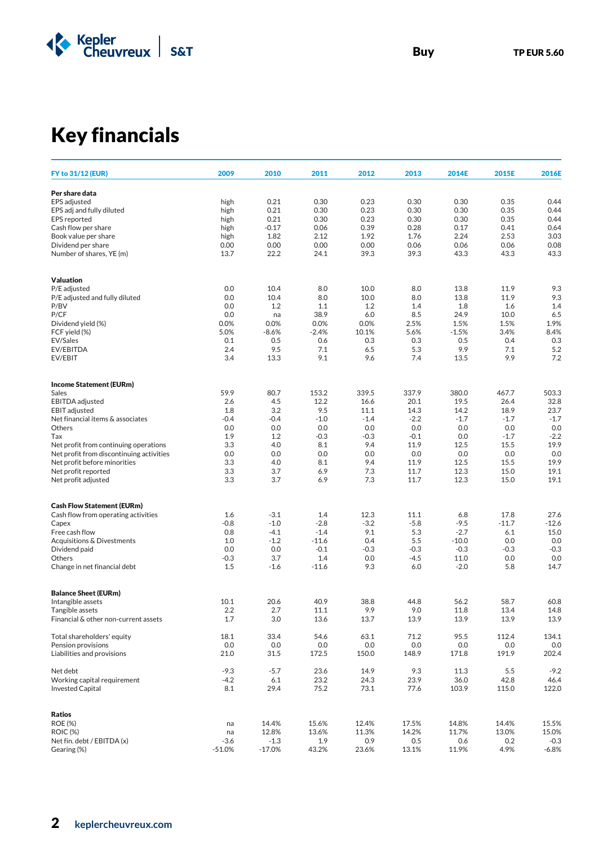

# Key financials

| FY to 31/12 (EUR)                                       | 2009          | 2010           | 2011           | 2012           | 2013           | 2014E          | 2015E          | 2016E          |
|---------------------------------------------------------|---------------|----------------|----------------|----------------|----------------|----------------|----------------|----------------|
| Per share data                                          |               |                |                |                |                |                |                |                |
| EPS adjusted                                            | high          | 0.21           | 0.30           | 0.23           | 0.30           | 0.30           | 0.35           | 0.44           |
| EPS adj and fully diluted                               | high          | 0.21           | 0.30           | 0.23           | 0.30           | 0.30           | 0.35           | 0.44           |
| <b>EPS</b> reported                                     | high          | 0.21           | 0.30           | 0.23           | 0.30           | 0.30           | 0.35           | 0.44           |
| Cash flow per share                                     | high          | $-0.17$        | 0.06           | 0.39           | 0.28           | 0.17           | 0.41           | 0.64           |
| Book value per share                                    | high          | 1.82           | 2.12           | 1.92           | 1.76           | 2.24           | 2.53           | 3.03           |
| Dividend per share<br>Number of shares, YE (m)          | 0.00<br>13.7  | 0.00<br>22.2   | 0.00<br>24.1   | 0.00<br>39.3   | 0.06<br>39.3   | 0.06<br>43.3   | 0.06<br>43.3   | 0.08<br>43.3   |
| <b>Valuation</b>                                        |               |                |                |                |                |                |                |                |
| P/E adjusted                                            | 0.0           | 10.4           | 8.0            | 10.0           | 8.0            | 13.8           | 11.9           | 9.3            |
| P/E adjusted and fully diluted                          | 0.0           | 10.4           | 8.0            | 10.0           | 8.0            | 13.8           | 11.9           | 9.3            |
| P/BV                                                    | 0.0           | 1.2            | 1.1            | 1.2            | 1.4            | 1.8            | 1.6            | 1.4            |
| P/CF                                                    | 0.0           | na             | 38.9           | 6.0            | 8.5            | 24.9           | 10.0           | 6.5            |
| Dividend yield (%)                                      | 0.0%          | 0.0%           | 0.0%           | 0.0%           | 2.5%           | 1.5%           | 1.5%           | 1.9%           |
| FCF yield (%)                                           | 5.0%          | $-8.6%$        | $-2.4%$        | 10.1%          | 5.6%           | $-1.5%$        | 3.4%           | 8.4%           |
| EV/Sales                                                | 0.1           | 0.5            | 0.6            | 0.3            | 0.3            | 0.5            | 0.4            | 0.3            |
| EV/EBITDA                                               | 2.4           | 9.5            | 7.1            | 6.5            | 5.3            | 9.9            | 7.1            | 5.2            |
| EV/EBIT                                                 | 3.4           | 13.3           | 9.1            | 9.6            | 7.4            | 13.5           | 9.9            | 7.2            |
| <b>Income Statement (EURm)</b>                          |               |                |                |                |                |                |                |                |
| Sales                                                   | 59.9          | 80.7           | 153.2          | 339.5          | 337.9          | 380.0          | 467.7          | 503.3          |
| EBITDA adjusted                                         | 2.6           | 4.5            | 12.2           | 16.6           | 20.1           | 19.5           | 26.4           | 32.8           |
| <b>EBIT</b> adjusted                                    | 1.8           | 3.2            | 9.5            | 11.1           | 14.3           | 14.2           | 18.9           | 23.7           |
| Net financial items & associates                        | $-0.4$        | $-0.4$<br>0.0  | $-1.0$         | $-1.4$         | $-2.2$         | $-1.7$         | $-1.7$<br>0.0  | $-1.7$         |
| Others<br>Tax                                           | 0.0<br>1.9    | 1.2            | 0.0<br>$-0.3$  | 0.0<br>$-0.3$  | 0.0<br>$-0.1$  | 0.0<br>0.0     | $-1.7$         | 0.0<br>$-2.2$  |
| Net profit from continuing operations                   | 3.3           | 4.0            | 8.1            | 9.4            | 11.9           | 12.5           | 15.5           | 19.9           |
| Net profit from discontinuing activities                | 0.0           | 0.0            | 0.0            | 0.0            | 0.0            | 0.0            | 0.0            | 0.0            |
| Net profit before minorities                            | 3.3           | 4.0            | 8.1            | 9.4            | 11.9           | 12.5           | 15.5           | 19.9           |
| Net profit reported                                     | 3.3           | 3.7            | 6.9            | 7.3            | 11.7           | 12.3           | 15.0           | 19.1           |
| Net profit adjusted                                     | 3.3           | 3.7            | 6.9            | 7.3            | 11.7           | 12.3           | 15.0           | 19.1           |
| <b>Cash Flow Statement (EURm)</b>                       |               |                |                |                |                |                |                |                |
| Cash flow from operating activities                     | 1.6           | $-3.1$         | 1.4            | 12.3           | 11.1           | 6.8            | 17.8           | 27.6           |
| Capex                                                   | $-0.8$        | $-1.0$         | $-2.8$         | $-3.2$         | $-5.8$         | $-9.5$         | $-11.7$        | $-12.6$        |
| Free cash flow                                          | 0.8           | $-4.1$         | $-1.4$         | 9.1            | 5.3            | $-2.7$         | 6.1            | 15.0           |
| Acquisitions & Divestments                              | 1.0           | $-1.2$         | $-11.6$        | 0.4            | 5.5            | $-10.0$        | 0.0            | 0.0            |
| Dividend paid                                           | 0.0           | 0.0            | $-0.1$         | $-0.3$         | $-0.3$         | $-0.3$         | $-0.3$         | $-0.3$         |
| Others                                                  | $-0.3$        | 3.7            | 1.4            | 0.0            | $-4.5$         | 11.0           | 0.0            | 0.0            |
| Change in net financial debt                            | 1.5           | $-1.6$         | $-11.6$        | 9.3            | 6.0            | $-2.0$         | 5.8            | 14.7           |
| <b>Balance Sheet (EURm)</b>                             |               |                |                |                |                |                |                |                |
| Intangible assets                                       | 10.1          | 20.6           | 40.9           | 38.8           | 44.8           | 56.2           | 58.7           | 60.8           |
| Tangible assets<br>Financial & other non-current assets | 2.2<br>1.7    | 2.7<br>3.0     | 11.1<br>13.6   | 9.9<br>13.7    | 9.0<br>13.9    | 11.8<br>13.9   | 13.4<br>13.9   | 14.8<br>13.9   |
| Total shareholders' equity                              | 18.1          | 33.4           | 54.6           | 63.1           | 71.2           | 95.5           | 112.4          | 134.1          |
| Pension provisions                                      | 0.0           | 0.0            | 0.0            | 0.0            | $0.0\,$        | 0.0            | 0.0            | 0.0            |
| Liabilities and provisions                              | 21.0          | 31.5           | 172.5          | 150.0          | 148.9          | 171.8          | 191.9          | 202.4          |
| Net debt                                                | $-9.3$        | $-5.7$         | 23.6           | 14.9           | 9.3            | 11.3           | 5.5            | $-9.2$         |
| Working capital requirement<br>Invested Capital         | $-4.2$<br>8.1 | 6.1<br>29.4    | 23.2<br>75.2   | 24.3<br>73.1   | 23.9<br>77.6   | 36.0<br>103.9  | 42.8<br>115.0  | 46.4<br>122.0  |
|                                                         |               |                |                |                |                |                |                |                |
| <b>Ratios</b>                                           |               |                |                |                |                |                |                |                |
| <b>ROE (%)</b><br><b>ROIC (%)</b>                       | na            | 14.4%<br>12.8% | 15.6%<br>13.6% | 12.4%<br>11.3% | 17.5%<br>14.2% | 14.8%<br>11.7% | 14.4%<br>13.0% | 15.5%<br>15.0% |
| Net fin. debt / EBITDA (x)                              | na<br>$-3.6$  | $-1.3$         | 1.9            | 0.9            | 0.5            | 0.6            | 0.2            | $-0.3$         |
| Gearing (%)                                             | $-51.0%$      | $-17.0%$       | 43.2%          | 23.6%          | 13.1%          | 11.9%          | 4.9%           | $-6.8%$        |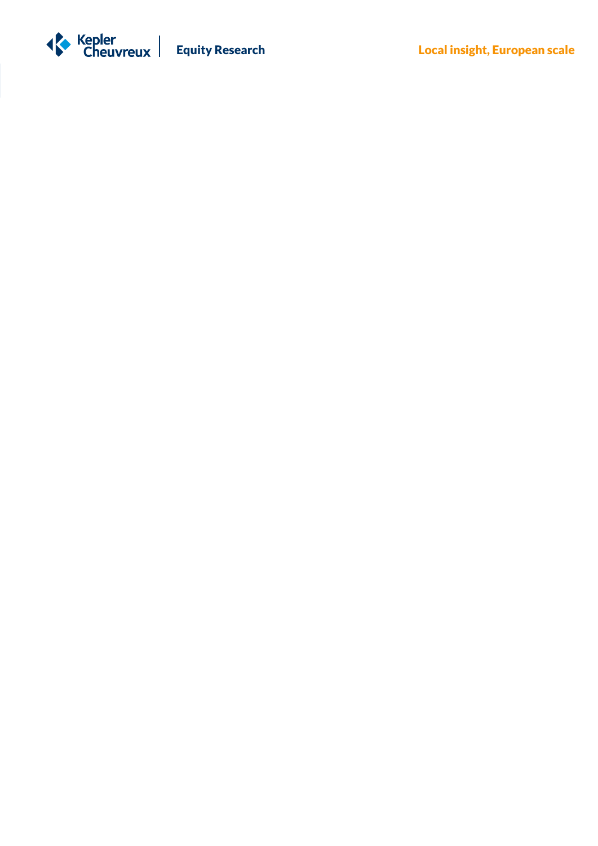